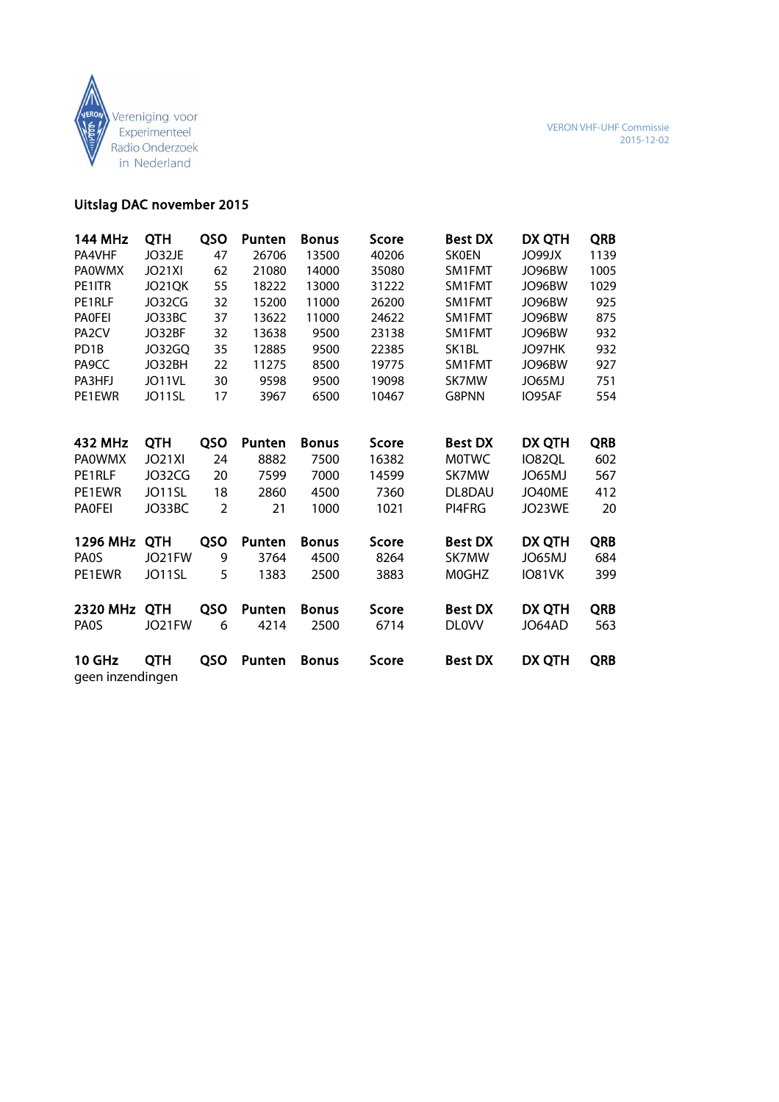

# Uitslag DAC november 2015

| 144 MHz                    | <b>QTH</b>    | QSO            | Punten | <b>Bonus</b> | Score | <b>Best DX</b> | DX QTH        | <b>QRB</b> |
|----------------------------|---------------|----------------|--------|--------------|-------|----------------|---------------|------------|
| PA4VHF                     | JO32JE        | 47             | 26706  | 13500        | 40206 | <b>SK0EN</b>   | JO99JX        | 1139       |
| <b>PAOWMX</b>              | JO21XI        | 62             | 21080  | 14000        | 35080 | SM1FMT         | JO96BW        | 1005       |
| PE1ITR                     | JO21QK        | 55             | 18222  | 13000        | 31222 | SM1FMT         | JO96BW        | 1029       |
| PE1RLF                     | JO32CG        | 32             | 15200  | 11000        | 26200 | SM1FMT         | JO96BW        | 925        |
| <b>PAOFEI</b>              | JO33BC        | 37             | 13622  | 11000        | 24622 | SM1FMT         | JO96BW        | 875        |
| PA <sub>2</sub> CV         | JO32BF        | 32             | 13638  | 9500         | 23138 | SM1FMT         | JO96BW        | 932        |
| PD <sub>1</sub> B          | JO32GQ        | 35             | 12885  | 9500         | 22385 | SK1BL          | JO97HK        | 932        |
| PA9CC                      | JO32BH        | 22             | 11275  | 8500         | 19775 | SM1FMT         | JO96BW        | 927        |
| PA3HFJ                     | JO11VL        | 30             | 9598   | 9500         | 19098 | SK7MW          | JO65MJ        | 751        |
| PE1EWR                     | JO11SL        | 17             | 3967   | 6500         | 10467 | G8PNN          | IO95AF        | 554        |
|                            |               |                |        |              |       |                |               |            |
| 432 MHz                    | <b>QTH</b>    | QSO            | Punten | <b>Bonus</b> | Score | <b>Best DX</b> | DX QTH        | <b>QRB</b> |
| <b>PAOWMX</b>              | <b>JO21XI</b> | 24             | 8882   | 7500         | 16382 | <b>MOTWC</b>   | IO82QL        | 602        |
| PE1RLF                     | JO32CG        | 20             | 7599   | 7000         | 14599 | SK7MW          | JO65MJ        | 567        |
| PE1EWR                     | JO11SL        | 18             | 2860   | 4500         | 7360  | DL8DAU         | JO40ME        | 412        |
| <b>PAOFEI</b>              | JO33BC        | $\overline{2}$ | 21     | 1000         | 1021  | PI4FRG         | JO23WE        | 20         |
|                            |               |                |        |              |       |                |               |            |
| 1296 MHz                   | <b>QTH</b>    | QSO            | Punten | <b>Bonus</b> | Score | <b>Best DX</b> | <b>DX QTH</b> | <b>QRB</b> |
| <b>PAOS</b>                | JO21FW        | 9              | 3764   | 4500         | 8264  | SK7MW          | JO65MJ        | 684        |
| PE1EWR                     | JO11SL        | 5              | 1383   | 2500         | 3883  | <b>MOGHZ</b>   | IO81VK        | 399        |
|                            |               |                |        |              |       |                |               |            |
| 2320 MHz                   | <b>QTH</b>    | QSO            | Punten | <b>Bonus</b> | Score | <b>Best DX</b> | <b>DX QTH</b> | <b>QRB</b> |
| <b>PAOS</b>                | JO21FW        | 6              | 4214   | 2500         | 6714  | <b>DLOVV</b>   | JO64AD        | 563        |
|                            |               |                |        |              |       |                |               |            |
| 10 GHz<br>geen inzendingen | QTH           | QSO            | Punten | <b>Bonus</b> | Score | <b>Best DX</b> | DX QTH        | <b>QRB</b> |
|                            |               |                |        |              |       |                |               |            |